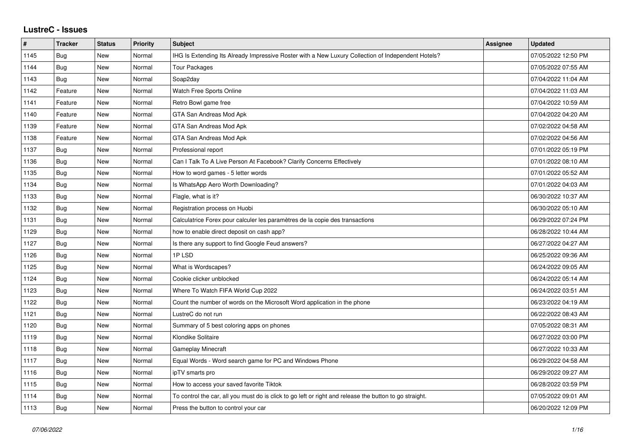## **LustreC - Issues**

| #    | <b>Tracker</b> | <b>Status</b> | <b>Priority</b> | <b>Subject</b>                                                                                          | <b>Assignee</b> | <b>Updated</b>      |
|------|----------------|---------------|-----------------|---------------------------------------------------------------------------------------------------------|-----------------|---------------------|
| 1145 | Bug            | New           | Normal          | IHG Is Extending Its Already Impressive Roster with a New Luxury Collection of Independent Hotels?      |                 | 07/05/2022 12:50 PM |
| 1144 | Bug            | New           | Normal          | <b>Tour Packages</b>                                                                                    |                 | 07/05/2022 07:55 AM |
| 1143 | Bug            | New           | Normal          | Soap2day                                                                                                |                 | 07/04/2022 11:04 AM |
| 1142 | Feature        | New           | Normal          | Watch Free Sports Online                                                                                |                 | 07/04/2022 11:03 AM |
| 1141 | Feature        | <b>New</b>    | Normal          | Retro Bowl game free                                                                                    |                 | 07/04/2022 10:59 AM |
| 1140 | Feature        | New           | Normal          | GTA San Andreas Mod Apk                                                                                 |                 | 07/04/2022 04:20 AM |
| 1139 | Feature        | New           | Normal          | GTA San Andreas Mod Apk                                                                                 |                 | 07/02/2022 04:58 AM |
| 1138 | Feature        | <b>New</b>    | Normal          | GTA San Andreas Mod Apk                                                                                 |                 | 07/02/2022 04:56 AM |
| 1137 | Bug            | New           | Normal          | Professional report                                                                                     |                 | 07/01/2022 05:19 PM |
| 1136 | Bug            | <b>New</b>    | Normal          | Can I Talk To A Live Person At Facebook? Clarify Concerns Effectively                                   |                 | 07/01/2022 08:10 AM |
| 1135 | <b>Bug</b>     | <b>New</b>    | Normal          | How to word games - 5 letter words                                                                      |                 | 07/01/2022 05:52 AM |
| 1134 | <b>Bug</b>     | New           | Normal          | Is WhatsApp Aero Worth Downloading?                                                                     |                 | 07/01/2022 04:03 AM |
| 1133 | Bug            | <b>New</b>    | Normal          | Flagle, what is it?                                                                                     |                 | 06/30/2022 10:37 AM |
| 1132 | Bug            | New           | Normal          | Registration process on Huobi                                                                           |                 | 06/30/2022 05:10 AM |
| 1131 | Bug            | New           | Normal          | Calculatrice Forex pour calculer les paramètres de la copie des transactions                            |                 | 06/29/2022 07:24 PM |
| 1129 | Bug            | New           | Normal          | how to enable direct deposit on cash app?                                                               |                 | 06/28/2022 10:44 AM |
| 1127 | Bug            | <b>New</b>    | Normal          | Is there any support to find Google Feud answers?                                                       |                 | 06/27/2022 04:27 AM |
| 1126 | <b>Bug</b>     | New           | Normal          | 1P LSD                                                                                                  |                 | 06/25/2022 09:36 AM |
| 1125 | Bug            | New           | Normal          | What is Wordscapes?                                                                                     |                 | 06/24/2022 09:05 AM |
| 1124 | Bug            | New           | Normal          | Cookie clicker unblocked                                                                                |                 | 06/24/2022 05:14 AM |
| 1123 | Bug            | New           | Normal          | Where To Watch FIFA World Cup 2022                                                                      |                 | 06/24/2022 03:51 AM |
| 1122 | Bug            | New           | Normal          | Count the number of words on the Microsoft Word application in the phone                                |                 | 06/23/2022 04:19 AM |
| 1121 | Bug            | New           | Normal          | LustreC do not run                                                                                      |                 | 06/22/2022 08:43 AM |
| 1120 | Bug            | New           | Normal          | Summary of 5 best coloring apps on phones                                                               |                 | 07/05/2022 08:31 AM |
| 1119 | <b>Bug</b>     | <b>New</b>    | Normal          | Klondike Solitaire                                                                                      |                 | 06/27/2022 03:00 PM |
| 1118 | Bug            | New           | Normal          | Gameplay Minecraft                                                                                      |                 | 06/27/2022 10:33 AM |
| 1117 | Bug            | New           | Normal          | Equal Words - Word search game for PC and Windows Phone                                                 |                 | 06/29/2022 04:58 AM |
| 1116 | <b>Bug</b>     | New           | Normal          | ipTV smarts pro                                                                                         |                 | 06/29/2022 09:27 AM |
| 1115 | Bug            | New           | Normal          | How to access your saved favorite Tiktok                                                                |                 | 06/28/2022 03:59 PM |
| 1114 | Bug            | New           | Normal          | To control the car, all you must do is click to go left or right and release the button to go straight. |                 | 07/05/2022 09:01 AM |
| 1113 | Bug            | New           | Normal          | Press the button to control your car                                                                    |                 | 06/20/2022 12:09 PM |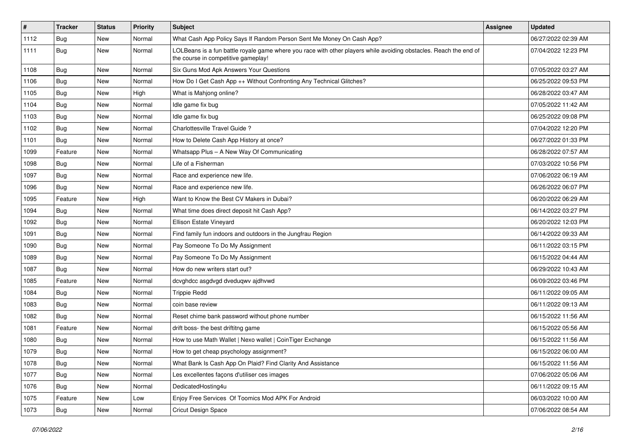| $\vert$ # | <b>Tracker</b> | <b>Status</b> | <b>Priority</b> | Subject                                                                                                                                                  | Assignee | <b>Updated</b>      |
|-----------|----------------|---------------|-----------------|----------------------------------------------------------------------------------------------------------------------------------------------------------|----------|---------------------|
| 1112      | <b>Bug</b>     | New           | Normal          | What Cash App Policy Says If Random Person Sent Me Money On Cash App?                                                                                    |          | 06/27/2022 02:39 AM |
| 1111      | Bug            | New           | Normal          | LOLBeans is a fun battle royale game where you race with other players while avoiding obstacles. Reach the end of<br>the course in competitive gameplay! |          | 07/04/2022 12:23 PM |
| 1108      | Bug            | New           | Normal          | Six Guns Mod Apk Answers Your Questions                                                                                                                  |          | 07/05/2022 03:27 AM |
| 1106      | Bug            | New           | Normal          | How Do I Get Cash App ++ Without Confronting Any Technical Glitches?                                                                                     |          | 06/25/2022 09:53 PM |
| 1105      | Bug            | New           | High            | What is Mahjong online?                                                                                                                                  |          | 06/28/2022 03:47 AM |
| 1104      | Bug            | New           | Normal          | Idle game fix bug                                                                                                                                        |          | 07/05/2022 11:42 AM |
| 1103      | Bug            | New           | Normal          | Idle game fix bug                                                                                                                                        |          | 06/25/2022 09:08 PM |
| 1102      | <b>Bug</b>     | New           | Normal          | Charlottesville Travel Guide?                                                                                                                            |          | 07/04/2022 12:20 PM |
| 1101      | <b>Bug</b>     | New           | Normal          | How to Delete Cash App History at once?                                                                                                                  |          | 06/27/2022 01:33 PM |
| 1099      | Feature        | New           | Normal          | Whatsapp Plus - A New Way Of Communicating                                                                                                               |          | 06/28/2022 07:57 AM |
| 1098      | <b>Bug</b>     | New           | Normal          | Life of a Fisherman                                                                                                                                      |          | 07/03/2022 10:56 PM |
| 1097      | Bug            | New           | Normal          | Race and experience new life.                                                                                                                            |          | 07/06/2022 06:19 AM |
| 1096      | <b>Bug</b>     | New           | Normal          | Race and experience new life.                                                                                                                            |          | 06/26/2022 06:07 PM |
| 1095      | Feature        | New           | High            | Want to Know the Best CV Makers in Dubai?                                                                                                                |          | 06/20/2022 06:29 AM |
| 1094      | Bug            | New           | Normal          | What time does direct deposit hit Cash App?                                                                                                              |          | 06/14/2022 03:27 PM |
| 1092      | <b>Bug</b>     | New           | Normal          | Ellison Estate Vineyard                                                                                                                                  |          | 06/20/2022 12:03 PM |
| 1091      | <b>Bug</b>     | New           | Normal          | Find family fun indoors and outdoors in the Jungfrau Region                                                                                              |          | 06/14/2022 09:33 AM |
| 1090      | <b>Bug</b>     | New           | Normal          | Pay Someone To Do My Assignment                                                                                                                          |          | 06/11/2022 03:15 PM |
| 1089      | <b>Bug</b>     | New           | Normal          | Pay Someone To Do My Assignment                                                                                                                          |          | 06/15/2022 04:44 AM |
| 1087      | Bug            | New           | Normal          | How do new writers start out?                                                                                                                            |          | 06/29/2022 10:43 AM |
| 1085      | Feature        | New           | Normal          | dcvghdcc asgdvgd dveduqwv ajdhvwd                                                                                                                        |          | 06/09/2022 03:46 PM |
| 1084      | Bug            | New           | Normal          | <b>Trippie Redd</b>                                                                                                                                      |          | 06/11/2022 09:05 AM |
| 1083      | <b>Bug</b>     | New           | Normal          | coin base review                                                                                                                                         |          | 06/11/2022 09:13 AM |
| 1082      | <b>Bug</b>     | New           | Normal          | Reset chime bank password without phone number                                                                                                           |          | 06/15/2022 11:56 AM |
| 1081      | Feature        | New           | Normal          | drift boss- the best driftitng game                                                                                                                      |          | 06/15/2022 05:56 AM |
| 1080      | <b>Bug</b>     | New           | Normal          | How to use Math Wallet   Nexo wallet   CoinTiger Exchange                                                                                                |          | 06/15/2022 11:56 AM |
| 1079      | Bug            | New           | Normal          | How to get cheap psychology assignment?                                                                                                                  |          | 06/15/2022 06:00 AM |
| 1078      | <b>Bug</b>     | New           | Normal          | What Bank Is Cash App On Plaid? Find Clarity And Assistance                                                                                              |          | 06/15/2022 11:56 AM |
| 1077      | Bug            | New           | Normal          | Les excellentes façons d'utiliser ces images                                                                                                             |          | 07/06/2022 05:06 AM |
| 1076      | Bug            | New           | Normal          | DedicatedHosting4u                                                                                                                                       |          | 06/11/2022 09:15 AM |
| 1075      | Feature        | New           | Low             | Enjoy Free Services Of Toomics Mod APK For Android                                                                                                       |          | 06/03/2022 10:00 AM |
| 1073      | Bug            | New           | Normal          | <b>Cricut Design Space</b>                                                                                                                               |          | 07/06/2022 08:54 AM |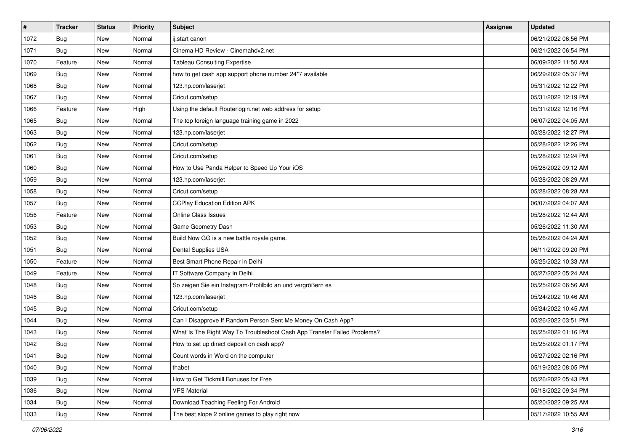| $\vert$ # | <b>Tracker</b> | <b>Status</b> | Priority | <b>Subject</b>                                                           | <b>Assignee</b> | <b>Updated</b>      |
|-----------|----------------|---------------|----------|--------------------------------------------------------------------------|-----------------|---------------------|
| 1072      | <b>Bug</b>     | New           | Normal   | ij.start canon                                                           |                 | 06/21/2022 06:56 PM |
| 1071      | <b>Bug</b>     | New           | Normal   | Cinema HD Review - Cinemahdy2.net                                        |                 | 06/21/2022 06:54 PM |
| 1070      | Feature        | New           | Normal   | <b>Tableau Consulting Expertise</b>                                      |                 | 06/09/2022 11:50 AM |
| 1069      | Bug            | New           | Normal   | how to get cash app support phone number 24*7 available                  |                 | 06/29/2022 05:37 PM |
| 1068      | Bug            | New           | Normal   | 123.hp.com/laserjet                                                      |                 | 05/31/2022 12:22 PM |
| 1067      | Bug            | New           | Normal   | Cricut.com/setup                                                         |                 | 05/31/2022 12:19 PM |
| 1066      | Feature        | New           | High     | Using the default Routerlogin.net web address for setup                  |                 | 05/31/2022 12:16 PM |
| 1065      | <b>Bug</b>     | New           | Normal   | The top foreign language training game in 2022                           |                 | 06/07/2022 04:05 AM |
| 1063      | <b>Bug</b>     | New           | Normal   | 123.hp.com/laserjet                                                      |                 | 05/28/2022 12:27 PM |
| 1062      | <b>Bug</b>     | New           | Normal   | Cricut.com/setup                                                         |                 | 05/28/2022 12:26 PM |
| 1061      | <b>Bug</b>     | New           | Normal   | Cricut.com/setup                                                         |                 | 05/28/2022 12:24 PM |
| 1060      | <b>Bug</b>     | New           | Normal   | How to Use Panda Helper to Speed Up Your iOS                             |                 | 05/28/2022 09:12 AM |
| 1059      | Bug            | New           | Normal   | 123.hp.com/laserjet                                                      |                 | 05/28/2022 08:29 AM |
| 1058      | Bug            | New           | Normal   | Cricut.com/setup                                                         |                 | 05/28/2022 08:28 AM |
| 1057      | Bug            | New           | Normal   | <b>CCPlay Education Edition APK</b>                                      |                 | 06/07/2022 04:07 AM |
| 1056      | Feature        | New           | Normal   | <b>Online Class Issues</b>                                               |                 | 05/28/2022 12:44 AM |
| 1053      | Bug            | New           | Normal   | Game Geometry Dash                                                       |                 | 05/26/2022 11:30 AM |
| 1052      | Bug            | New           | Normal   | Build Now GG is a new battle royale game.                                |                 | 05/26/2022 04:24 AM |
| 1051      | Bug            | New           | Normal   | Dental Supplies USA                                                      |                 | 06/11/2022 09:20 PM |
| 1050      | Feature        | New           | Normal   | Best Smart Phone Repair in Delhi                                         |                 | 05/25/2022 10:33 AM |
| 1049      | Feature        | New           | Normal   | IT Software Company In Delhi                                             |                 | 05/27/2022 05:24 AM |
| 1048      | <b>Bug</b>     | New           | Normal   | So zeigen Sie ein Instagram-Profilbild an und vergrößern es              |                 | 05/25/2022 06:56 AM |
| 1046      | Bug            | New           | Normal   | 123.hp.com/laserjet                                                      |                 | 05/24/2022 10:46 AM |
| 1045      | <b>Bug</b>     | New           | Normal   | Cricut.com/setup                                                         |                 | 05/24/2022 10:45 AM |
| 1044      | <b>Bug</b>     | New           | Normal   | Can I Disapprove If Random Person Sent Me Money On Cash App?             |                 | 05/26/2022 03:51 PM |
| 1043      | Bug            | New           | Normal   | What Is The Right Way To Troubleshoot Cash App Transfer Failed Problems? |                 | 05/25/2022 01:16 PM |
| 1042      | Bug            | New           | Normal   | How to set up direct deposit on cash app?                                |                 | 05/25/2022 01:17 PM |
| 1041      | <b>Bug</b>     | New           | Normal   | Count words in Word on the computer                                      |                 | 05/27/2022 02:16 PM |
| 1040      | <b>Bug</b>     | New           | Normal   | thabet                                                                   |                 | 05/19/2022 08:05 PM |
| 1039      | <b>Bug</b>     | New           | Normal   | How to Get Tickmill Bonuses for Free                                     |                 | 05/26/2022 05:43 PM |
| 1036      | <b>Bug</b>     | New           | Normal   | <b>VPS Material</b>                                                      |                 | 05/18/2022 09:34 PM |
| 1034      | Bug            | New           | Normal   | Download Teaching Feeling For Android                                    |                 | 05/20/2022 09:25 AM |
| 1033      | <b>Bug</b>     | New           | Normal   | The best slope 2 online games to play right now                          |                 | 05/17/2022 10:55 AM |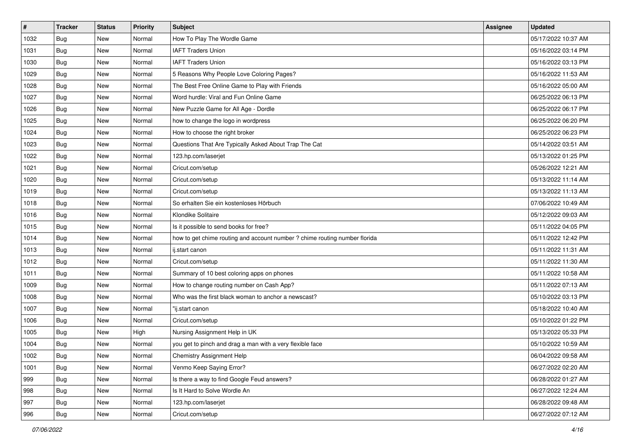| #    | <b>Tracker</b> | <b>Status</b> | <b>Priority</b> | Subject                                                                    | Assignee | <b>Updated</b>      |
|------|----------------|---------------|-----------------|----------------------------------------------------------------------------|----------|---------------------|
| 1032 | <b>Bug</b>     | New           | Normal          | How To Play The Wordle Game                                                |          | 05/17/2022 10:37 AM |
| 1031 | Bug            | New           | Normal          | <b>IAFT Traders Union</b>                                                  |          | 05/16/2022 03:14 PM |
| 1030 | Bug            | New           | Normal          | <b>IAFT Traders Union</b>                                                  |          | 05/16/2022 03:13 PM |
| 1029 | <b>Bug</b>     | New           | Normal          | 5 Reasons Why People Love Coloring Pages?                                  |          | 05/16/2022 11:53 AM |
| 1028 | <b>Bug</b>     | New           | Normal          | The Best Free Online Game to Play with Friends                             |          | 05/16/2022 05:00 AM |
| 1027 | <b>Bug</b>     | New           | Normal          | Word hurdle: Viral and Fun Online Game                                     |          | 06/25/2022 06:13 PM |
| 1026 | <b>Bug</b>     | New           | Normal          | New Puzzle Game for All Age - Dordle                                       |          | 06/25/2022 06:17 PM |
| 1025 | Bug            | New           | Normal          | how to change the logo in wordpress                                        |          | 06/25/2022 06:20 PM |
| 1024 | <b>Bug</b>     | New           | Normal          | How to choose the right broker                                             |          | 06/25/2022 06:23 PM |
| 1023 | Bug            | New           | Normal          | Questions That Are Typically Asked About Trap The Cat                      |          | 05/14/2022 03:51 AM |
| 1022 | Bug            | New           | Normal          | 123.hp.com/laserjet                                                        |          | 05/13/2022 01:25 PM |
| 1021 | <b>Bug</b>     | New           | Normal          | Cricut.com/setup                                                           |          | 05/26/2022 12:21 AM |
| 1020 | Bug            | New           | Normal          | Cricut.com/setup                                                           |          | 05/13/2022 11:14 AM |
| 1019 | Bug            | New           | Normal          | Cricut.com/setup                                                           |          | 05/13/2022 11:13 AM |
| 1018 | <b>Bug</b>     | New           | Normal          | So erhalten Sie ein kostenloses Hörbuch                                    |          | 07/06/2022 10:49 AM |
| 1016 | <b>Bug</b>     | New           | Normal          | Klondike Solitaire                                                         |          | 05/12/2022 09:03 AM |
| 1015 | Bug            | New           | Normal          | Is it possible to send books for free?                                     |          | 05/11/2022 04:05 PM |
| 1014 | Bug            | New           | Normal          | how to get chime routing and account number ? chime routing number florida |          | 05/11/2022 12:42 PM |
| 1013 | <b>Bug</b>     | New           | Normal          | ij.start canon                                                             |          | 05/11/2022 11:31 AM |
| 1012 | Bug            | New           | Normal          | Cricut.com/setup                                                           |          | 05/11/2022 11:30 AM |
| 1011 | Bug            | New           | Normal          | Summary of 10 best coloring apps on phones                                 |          | 05/11/2022 10:58 AM |
| 1009 | Bug            | New           | Normal          | How to change routing number on Cash App?                                  |          | 05/11/2022 07:13 AM |
| 1008 | <b>Bug</b>     | New           | Normal          | Who was the first black woman to anchor a newscast?                        |          | 05/10/2022 03:13 PM |
| 1007 | Bug            | New           | Normal          | "ij.start canon                                                            |          | 05/18/2022 10:40 AM |
| 1006 | <b>Bug</b>     | New           | Normal          | Cricut.com/setup                                                           |          | 05/10/2022 01:22 PM |
| 1005 | Bug            | New           | High            | Nursing Assignment Help in UK                                              |          | 05/13/2022 05:33 PM |
| 1004 | Bug            | New           | Normal          | you get to pinch and drag a man with a very flexible face                  |          | 05/10/2022 10:59 AM |
| 1002 | <b>Bug</b>     | New           | Normal          | <b>Chemistry Assignment Help</b>                                           |          | 06/04/2022 09:58 AM |
| 1001 | Bug            | New           | Normal          | Venmo Keep Saying Error?                                                   |          | 06/27/2022 02:20 AM |
| 999  | <b>Bug</b>     | New           | Normal          | Is there a way to find Google Feud answers?                                |          | 06/28/2022 01:27 AM |
| 998  | Bug            | New           | Normal          | Is It Hard to Solve Wordle An                                              |          | 06/27/2022 12:24 AM |
| 997  | <b>Bug</b>     | New           | Normal          | 123.hp.com/laserjet                                                        |          | 06/28/2022 09:48 AM |
| 996  | <b>Bug</b>     | New           | Normal          | Cricut.com/setup                                                           |          | 06/27/2022 07:12 AM |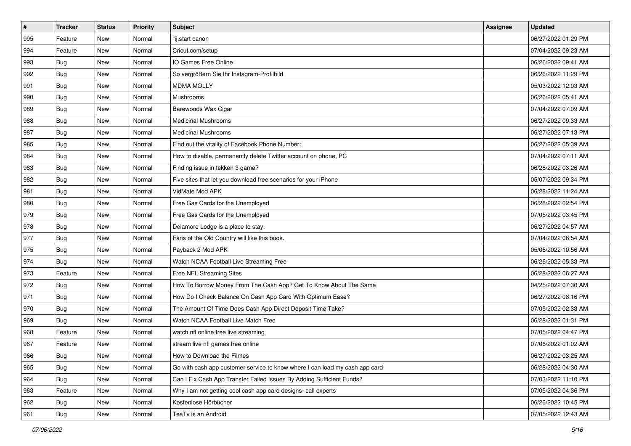| $\pmb{\#}$ | <b>Tracker</b> | <b>Status</b> | <b>Priority</b> | <b>Subject</b>                                                              | <b>Assignee</b> | <b>Updated</b>      |
|------------|----------------|---------------|-----------------|-----------------------------------------------------------------------------|-----------------|---------------------|
| 995        | Feature        | New           | Normal          | 'ij.start canon                                                             |                 | 06/27/2022 01:29 PM |
| 994        | Feature        | New           | Normal          | Cricut.com/setup                                                            |                 | 07/04/2022 09:23 AM |
| 993        | Bug            | New           | Normal          | IO Games Free Online                                                        |                 | 06/26/2022 09:41 AM |
| 992        | <b>Bug</b>     | New           | Normal          | So vergrößern Sie Ihr Instagram-Profilbild                                  |                 | 06/26/2022 11:29 PM |
| 991        | Bug            | New           | Normal          | <b>MDMA MOLLY</b>                                                           |                 | 05/03/2022 12:03 AM |
| 990        | <b>Bug</b>     | New           | Normal          | <b>Mushrooms</b>                                                            |                 | 06/26/2022 05:41 AM |
| 989        | <b>Bug</b>     | New           | Normal          | Barewoods Wax Cigar                                                         |                 | 07/04/2022 07:09 AM |
| 988        | <b>Bug</b>     | New           | Normal          | <b>Medicinal Mushrooms</b>                                                  |                 | 06/27/2022 09:33 AM |
| 987        | Bug            | New           | Normal          | <b>Medicinal Mushrooms</b>                                                  |                 | 06/27/2022 07:13 PM |
| 985        | Bug            | New           | Normal          | Find out the vitality of Facebook Phone Number:                             |                 | 06/27/2022 05:39 AM |
| 984        | <b>Bug</b>     | New           | Normal          | How to disable, permanently delete Twitter account on phone, PC             |                 | 07/04/2022 07:11 AM |
| 983        | <b>Bug</b>     | New           | Normal          | Finding issue in tekken 3 game?                                             |                 | 06/28/2022 03:26 AM |
| 982        | Bug            | New           | Normal          | Five sites that let you download free scenarios for your iPhone             |                 | 05/07/2022 09:34 PM |
| 981        | Bug            | New           | Normal          | VidMate Mod APK                                                             |                 | 06/28/2022 11:24 AM |
| 980        | Bug            | New           | Normal          | Free Gas Cards for the Unemployed                                           |                 | 06/28/2022 02:54 PM |
| 979        | Bug            | New           | Normal          | Free Gas Cards for the Unemployed                                           |                 | 07/05/2022 03:45 PM |
| 978        | <b>Bug</b>     | New           | Normal          | Delamore Lodge is a place to stay.                                          |                 | 06/27/2022 04:57 AM |
| 977        | Bug            | New           | Normal          | Fans of the Old Country will like this book.                                |                 | 07/04/2022 06:54 AM |
| 975        | Bug            | New           | Normal          | Payback 2 Mod APK                                                           |                 | 05/05/2022 10:56 AM |
| 974        | Bug            | New           | Normal          | Watch NCAA Football Live Streaming Free                                     |                 | 06/26/2022 05:33 PM |
| 973        | Feature        | New           | Normal          | Free NFL Streaming Sites                                                    |                 | 06/28/2022 06:27 AM |
| 972        | Bug            | New           | Normal          | How To Borrow Money From The Cash App? Get To Know About The Same           |                 | 04/25/2022 07:30 AM |
| 971        | Bug            | New           | Normal          | How Do I Check Balance On Cash App Card With Optimum Ease?                  |                 | 06/27/2022 08:16 PM |
| 970        | <b>Bug</b>     | New           | Normal          | The Amount Of Time Does Cash App Direct Deposit Time Take?                  |                 | 07/05/2022 02:33 AM |
| 969        | Bug            | New           | Normal          | Watch NCAA Football Live Match Free                                         |                 | 06/28/2022 01:31 PM |
| 968        | Feature        | New           | Normal          | watch nfl online free live streaming                                        |                 | 07/05/2022 04:47 PM |
| 967        | Feature        | New           | Normal          | stream live nfl games free online                                           |                 | 07/06/2022 01:02 AM |
| 966        | i Bug          | New           | Normal          | How to Download the Filmes                                                  |                 | 06/27/2022 03:25 AM |
| 965        | <b>Bug</b>     | New           | Normal          | Go with cash app customer service to know where I can load my cash app card |                 | 06/28/2022 04:30 AM |
| 964        | Bug            | New           | Normal          | Can I Fix Cash App Transfer Failed Issues By Adding Sufficient Funds?       |                 | 07/03/2022 11:10 PM |
| 963        | Feature        | New           | Normal          | Why I am not getting cool cash app card designs- call experts               |                 | 07/05/2022 04:36 PM |
| 962        | Bug            | New           | Normal          | Kostenlose Hörbücher                                                        |                 | 06/26/2022 10:45 PM |
| 961        | <b>Bug</b>     | New           | Normal          | TeaTv is an Android                                                         |                 | 07/05/2022 12:43 AM |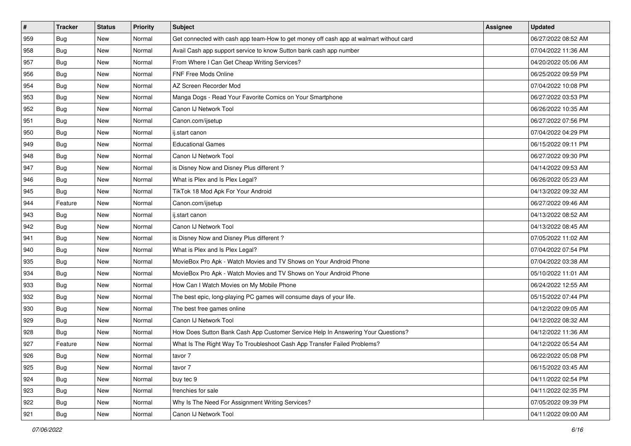| $\vert$ # | <b>Tracker</b> | <b>Status</b> | <b>Priority</b> | <b>Subject</b>                                                                         | <b>Assignee</b> | <b>Updated</b>      |
|-----------|----------------|---------------|-----------------|----------------------------------------------------------------------------------------|-----------------|---------------------|
| 959       | <b>Bug</b>     | New           | Normal          | Get connected with cash app team-How to get money off cash app at walmart without card |                 | 06/27/2022 08:52 AM |
| 958       | <b>Bug</b>     | New           | Normal          | Avail Cash app support service to know Sutton bank cash app number                     |                 | 07/04/2022 11:36 AM |
| 957       | Bug            | New           | Normal          | From Where I Can Get Cheap Writing Services?                                           |                 | 04/20/2022 05:06 AM |
| 956       | Bug            | New           | Normal          | FNF Free Mods Online                                                                   |                 | 06/25/2022 09:59 PM |
| 954       | <b>Bug</b>     | New           | Normal          | AZ Screen Recorder Mod                                                                 |                 | 07/04/2022 10:08 PM |
| 953       | Bug            | New           | Normal          | Manga Dogs - Read Your Favorite Comics on Your Smartphone                              |                 | 06/27/2022 03:53 PM |
| 952       | <b>Bug</b>     | New           | Normal          | Canon IJ Network Tool                                                                  |                 | 06/26/2022 10:35 AM |
| 951       | Bug            | New           | Normal          | Canon.com/ijsetup                                                                      |                 | 06/27/2022 07:56 PM |
| 950       | Bug            | New           | Normal          | ij.start canon                                                                         |                 | 07/04/2022 04:29 PM |
| 949       | Bug            | New           | Normal          | <b>Educational Games</b>                                                               |                 | 06/15/2022 09:11 PM |
| 948       | <b>Bug</b>     | New           | Normal          | Canon IJ Network Tool                                                                  |                 | 06/27/2022 09:30 PM |
| 947       | Bug            | New           | Normal          | is Disney Now and Disney Plus different?                                               |                 | 04/14/2022 09:53 AM |
| 946       | Bug            | New           | Normal          | What is Plex and Is Plex Legal?                                                        |                 | 06/26/2022 05:23 AM |
| 945       | <b>Bug</b>     | New           | Normal          | TikTok 18 Mod Apk For Your Android                                                     |                 | 04/13/2022 09:32 AM |
| 944       | Feature        | New           | Normal          | Canon.com/ijsetup                                                                      |                 | 06/27/2022 09:46 AM |
| 943       | Bug            | New           | Normal          | ij.start canon                                                                         |                 | 04/13/2022 08:52 AM |
| 942       | Bug            | New           | Normal          | Canon IJ Network Tool                                                                  |                 | 04/13/2022 08:45 AM |
| 941       | Bug            | New           | Normal          | is Disney Now and Disney Plus different?                                               |                 | 07/05/2022 11:02 AM |
| 940       | <b>Bug</b>     | New           | Normal          | What is Plex and Is Plex Legal?                                                        |                 | 07/04/2022 07:54 PM |
| 935       | <b>Bug</b>     | New           | Normal          | MovieBox Pro Apk - Watch Movies and TV Shows on Your Android Phone                     |                 | 07/04/2022 03:38 AM |
| 934       | Bug            | New           | Normal          | MovieBox Pro Apk - Watch Movies and TV Shows on Your Android Phone                     |                 | 05/10/2022 11:01 AM |
| 933       | Bug            | New           | Normal          | How Can I Watch Movies on My Mobile Phone                                              |                 | 06/24/2022 12:55 AM |
| 932       | <b>Bug</b>     | New           | Normal          | The best epic, long-playing PC games will consume days of your life.                   |                 | 05/15/2022 07:44 PM |
| 930       | <b>Bug</b>     | New           | Normal          | The best free games online                                                             |                 | 04/12/2022 09:05 AM |
| 929       | Bug            | New           | Normal          | Canon IJ Network Tool                                                                  |                 | 04/12/2022 08:32 AM |
| 928       | <b>Bug</b>     | New           | Normal          | How Does Sutton Bank Cash App Customer Service Help In Answering Your Questions?       |                 | 04/12/2022 11:36 AM |
| 927       | Feature        | New           | Normal          | What Is The Right Way To Troubleshoot Cash App Transfer Failed Problems?               |                 | 04/12/2022 05:54 AM |
| 926       | <b>Bug</b>     | New           | Normal          | tavor 7                                                                                |                 | 06/22/2022 05:08 PM |
| 925       | <b>Bug</b>     | New           | Normal          | tavor 7                                                                                |                 | 06/15/2022 03:45 AM |
| 924       | <b>Bug</b>     | New           | Normal          | buy tec 9                                                                              |                 | 04/11/2022 02:54 PM |
| 923       | <b>Bug</b>     | New           | Normal          | frenchies for sale                                                                     |                 | 04/11/2022 02:35 PM |
| 922       | <b>Bug</b>     | New           | Normal          | Why Is The Need For Assignment Writing Services?                                       |                 | 07/05/2022 09:39 PM |
| 921       | <b>Bug</b>     | New           | Normal          | Canon IJ Network Tool                                                                  |                 | 04/11/2022 09:00 AM |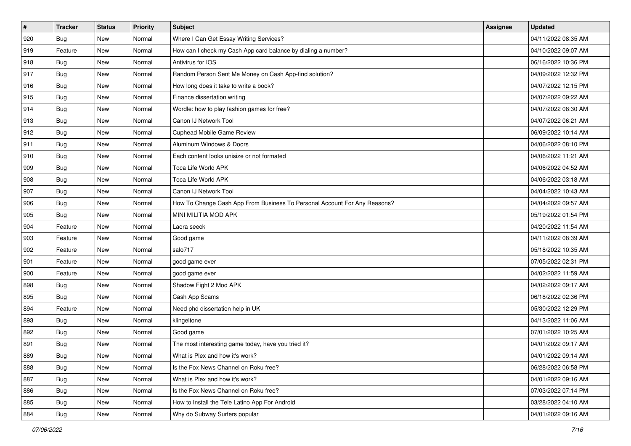| $\pmb{\#}$ | <b>Tracker</b> | <b>Status</b> | <b>Priority</b> | Subject                                                                   | Assignee | <b>Updated</b>      |
|------------|----------------|---------------|-----------------|---------------------------------------------------------------------------|----------|---------------------|
| 920        | <b>Bug</b>     | New           | Normal          | Where I Can Get Essay Writing Services?                                   |          | 04/11/2022 08:35 AM |
| 919        | Feature        | New           | Normal          | How can I check my Cash App card balance by dialing a number?             |          | 04/10/2022 09:07 AM |
| 918        | <b>Bug</b>     | New           | Normal          | Antivirus for IOS                                                         |          | 06/16/2022 10:36 PM |
| 917        | Bug            | New           | Normal          | Random Person Sent Me Money on Cash App-find solution?                    |          | 04/09/2022 12:32 PM |
| 916        | Bug            | New           | Normal          | How long does it take to write a book?                                    |          | 04/07/2022 12:15 PM |
| 915        | <b>Bug</b>     | New           | Normal          | Finance dissertation writing                                              |          | 04/07/2022 09:22 AM |
| 914        | Bug            | New           | Normal          | Wordle: how to play fashion games for free?                               |          | 04/07/2022 08:30 AM |
| 913        | <b>Bug</b>     | New           | Normal          | Canon IJ Network Tool                                                     |          | 04/07/2022 06:21 AM |
| 912        | <b>Bug</b>     | New           | Normal          | Cuphead Mobile Game Review                                                |          | 06/09/2022 10:14 AM |
| 911        | <b>Bug</b>     | New           | Normal          | Aluminum Windows & Doors                                                  |          | 04/06/2022 08:10 PM |
| 910        | <b>Bug</b>     | New           | Normal          | Each content looks unisize or not formated                                |          | 04/06/2022 11:21 AM |
| 909        | <b>Bug</b>     | New           | Normal          | <b>Toca Life World APK</b>                                                |          | 04/06/2022 04:52 AM |
| 908        | Bug            | New           | Normal          | <b>Toca Life World APK</b>                                                |          | 04/06/2022 03:18 AM |
| 907        | <b>Bug</b>     | New           | Normal          | Canon IJ Network Tool                                                     |          | 04/04/2022 10:43 AM |
| 906        | <b>Bug</b>     | New           | Normal          | How To Change Cash App From Business To Personal Account For Any Reasons? |          | 04/04/2022 09:57 AM |
| 905        | Bug            | New           | Normal          | MINI MILITIA MOD APK                                                      |          | 05/19/2022 01:54 PM |
| 904        | Feature        | New           | Normal          | Laora seeck                                                               |          | 04/20/2022 11:54 AM |
| 903        | Feature        | New           | Normal          | Good game                                                                 |          | 04/11/2022 08:39 AM |
| 902        | Feature        | New           | Normal          | salo717                                                                   |          | 05/18/2022 10:35 AM |
| 901        | Feature        | New           | Normal          | good game ever                                                            |          | 07/05/2022 02:31 PM |
| 900        | Feature        | New           | Normal          | good game ever                                                            |          | 04/02/2022 11:59 AM |
| 898        | Bug            | New           | Normal          | Shadow Fight 2 Mod APK                                                    |          | 04/02/2022 09:17 AM |
| 895        | Bug            | New           | Normal          | Cash App Scams                                                            |          | 06/18/2022 02:36 PM |
| 894        | Feature        | New           | Normal          | Need phd dissertation help in UK                                          |          | 05/30/2022 12:29 PM |
| 893        | Bug            | New           | Normal          | klingeltone                                                               |          | 04/13/2022 11:06 AM |
| 892        | Bug            | New           | Normal          | Good game                                                                 |          | 07/01/2022 10:25 AM |
| 891        | <b>Bug</b>     | New           | Normal          | The most interesting game today, have you tried it?                       |          | 04/01/2022 09:17 AM |
| 889        | <b>Bug</b>     | New           | Normal          | What is Plex and how it's work?                                           |          | 04/01/2022 09:14 AM |
| 888        | <b>Bug</b>     | New           | Normal          | Is the Fox News Channel on Roku free?                                     |          | 06/28/2022 06:58 PM |
| 887        | <b>Bug</b>     | New           | Normal          | What is Plex and how it's work?                                           |          | 04/01/2022 09:16 AM |
| 886        | Bug            | New           | Normal          | Is the Fox News Channel on Roku free?                                     |          | 07/03/2022 07:14 PM |
| 885        | <b>Bug</b>     | New           | Normal          | How to Install the Tele Latino App For Android                            |          | 03/28/2022 04:10 AM |
| 884        | <b>Bug</b>     | New           | Normal          | Why do Subway Surfers popular                                             |          | 04/01/2022 09:16 AM |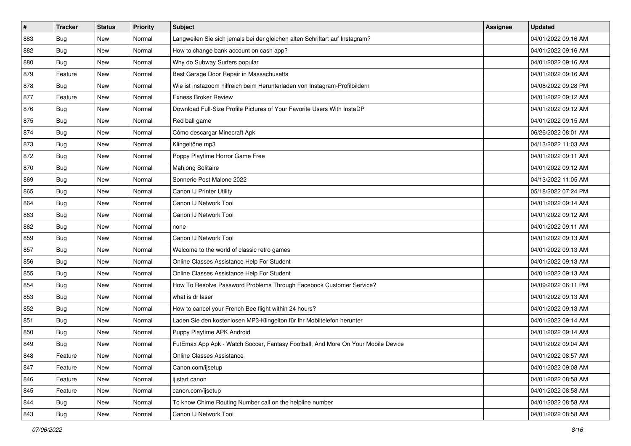| $\pmb{\#}$ | <b>Tracker</b> | <b>Status</b> | <b>Priority</b> | Subject                                                                          | <b>Assignee</b> | <b>Updated</b>      |
|------------|----------------|---------------|-----------------|----------------------------------------------------------------------------------|-----------------|---------------------|
| 883        | <b>Bug</b>     | New           | Normal          | Langweilen Sie sich jemals bei der gleichen alten Schriftart auf Instagram?      |                 | 04/01/2022 09:16 AM |
| 882        | Bug            | New           | Normal          | How to change bank account on cash app?                                          |                 | 04/01/2022 09:16 AM |
| 880        | <b>Bug</b>     | New           | Normal          | Why do Subway Surfers popular                                                    |                 | 04/01/2022 09:16 AM |
| 879        | Feature        | New           | Normal          | Best Garage Door Repair in Massachusetts                                         |                 | 04/01/2022 09:16 AM |
| 878        | <b>Bug</b>     | New           | Normal          | Wie ist instazoom hilfreich beim Herunterladen von Instagram-Profilbildern       |                 | 04/08/2022 09:28 PM |
| 877        | Feature        | New           | Normal          | Exness Broker Review                                                             |                 | 04/01/2022 09:12 AM |
| 876        | Bug            | New           | Normal          | Download Full-Size Profile Pictures of Your Favorite Users With InstaDP          |                 | 04/01/2022 09:12 AM |
| 875        | <b>Bug</b>     | New           | Normal          | Red ball game                                                                    |                 | 04/01/2022 09:15 AM |
| 874        | Bug            | New           | Normal          | Cómo descargar Minecraft Apk                                                     |                 | 06/26/2022 08:01 AM |
| 873        | <b>Bug</b>     | New           | Normal          | Klingeltöne mp3                                                                  |                 | 04/13/2022 11:03 AM |
| 872        | <b>Bug</b>     | New           | Normal          | Poppy Playtime Horror Game Free                                                  |                 | 04/01/2022 09:11 AM |
| 870        | Bug            | New           | Normal          | Mahjong Solitaire                                                                |                 | 04/01/2022 09:12 AM |
| 869        | Bug            | New           | Normal          | Sonnerie Post Malone 2022                                                        |                 | 04/13/2022 11:05 AM |
| 865        | <b>Bug</b>     | New           | Normal          | Canon IJ Printer Utility                                                         |                 | 05/18/2022 07:24 PM |
| 864        | <b>Bug</b>     | New           | Normal          | Canon IJ Network Tool                                                            |                 | 04/01/2022 09:14 AM |
| 863        | Bug            | New           | Normal          | Canon IJ Network Tool                                                            |                 | 04/01/2022 09:12 AM |
| 862        | <b>Bug</b>     | New           | Normal          | none                                                                             |                 | 04/01/2022 09:11 AM |
| 859        | Bug            | New           | Normal          | Canon IJ Network Tool                                                            |                 | 04/01/2022 09:13 AM |
| 857        | <b>Bug</b>     | New           | Normal          | Welcome to the world of classic retro games                                      |                 | 04/01/2022 09:13 AM |
| 856        | Bug            | New           | Normal          | Online Classes Assistance Help For Student                                       |                 | 04/01/2022 09:13 AM |
| 855        | <b>Bug</b>     | New           | Normal          | Online Classes Assistance Help For Student                                       |                 | 04/01/2022 09:13 AM |
| 854        | Bug            | New           | Normal          | How To Resolve Password Problems Through Facebook Customer Service?              |                 | 04/09/2022 06:11 PM |
| 853        | Bug            | New           | Normal          | what is dr laser                                                                 |                 | 04/01/2022 09:13 AM |
| 852        | <b>Bug</b>     | New           | Normal          | How to cancel your French Bee flight within 24 hours?                            |                 | 04/01/2022 09:13 AM |
| 851        | <b>Bug</b>     | New           | Normal          | Laden Sie den kostenlosen MP3-Klingelton für Ihr Mobiltelefon herunter           |                 | 04/01/2022 09:14 AM |
| 850        | Bug            | New           | Normal          | Puppy Playtime APK Android                                                       |                 | 04/01/2022 09:14 AM |
| 849        | <b>Bug</b>     | New           | Normal          | FutEmax App Apk - Watch Soccer, Fantasy Football, And More On Your Mobile Device |                 | 04/01/2022 09:04 AM |
| 848        | Feature        | New           | Normal          | Online Classes Assistance                                                        |                 | 04/01/2022 08:57 AM |
| 847        | Feature        | New           | Normal          | Canon.com/ijsetup                                                                |                 | 04/01/2022 09:08 AM |
| 846        | Feature        | New           | Normal          | ij.start canon                                                                   |                 | 04/01/2022 08:58 AM |
| 845        | Feature        | New           | Normal          | canon.com/ijsetup                                                                |                 | 04/01/2022 08:58 AM |
| 844        | <b>Bug</b>     | New           | Normal          | To know Chime Routing Number call on the helpline number                         |                 | 04/01/2022 08:58 AM |
| 843        | <b>Bug</b>     | New           | Normal          | Canon IJ Network Tool                                                            |                 | 04/01/2022 08:58 AM |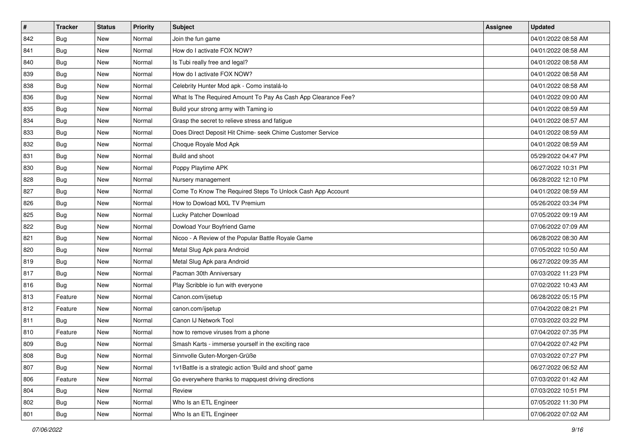| $\vert$ # | <b>Tracker</b> | <b>Status</b> | <b>Priority</b> | <b>Subject</b>                                                | Assignee | <b>Updated</b>      |
|-----------|----------------|---------------|-----------------|---------------------------------------------------------------|----------|---------------------|
| 842       | <b>Bug</b>     | New           | Normal          | Join the fun game                                             |          | 04/01/2022 08:58 AM |
| 841       | Bug            | New           | Normal          | How do I activate FOX NOW?                                    |          | 04/01/2022 08:58 AM |
| 840       | Bug            | New           | Normal          | Is Tubi really free and legal?                                |          | 04/01/2022 08:58 AM |
| 839       | <b>Bug</b>     | New           | Normal          | How do I activate FOX NOW?                                    |          | 04/01/2022 08:58 AM |
| 838       | Bug            | New           | Normal          | Celebrity Hunter Mod apk - Como instalá-lo                    |          | 04/01/2022 08:58 AM |
| 836       | <b>Bug</b>     | New           | Normal          | What Is The Required Amount To Pay As Cash App Clearance Fee? |          | 04/01/2022 09:00 AM |
| 835       | Bug            | New           | Normal          | Build your strong army with Taming io                         |          | 04/01/2022 08:59 AM |
| 834       | <b>Bug</b>     | New           | Normal          | Grasp the secret to relieve stress and fatigue                |          | 04/01/2022 08:57 AM |
| 833       | <b>Bug</b>     | New           | Normal          | Does Direct Deposit Hit Chime- seek Chime Customer Service    |          | 04/01/2022 08:59 AM |
| 832       | <b>Bug</b>     | New           | Normal          | Choque Royale Mod Apk                                         |          | 04/01/2022 08:59 AM |
| 831       | <b>Bug</b>     | New           | Normal          | Build and shoot                                               |          | 05/29/2022 04:47 PM |
| 830       | <b>Bug</b>     | New           | Normal          | Poppy Playtime APK                                            |          | 06/27/2022 10:31 PM |
| 828       | Bug            | New           | Normal          | Nursery management                                            |          | 06/28/2022 12:10 PM |
| 827       | Bug            | New           | Normal          | Come To Know The Required Steps To Unlock Cash App Account    |          | 04/01/2022 08:59 AM |
| 826       | Bug            | New           | Normal          | How to Dowload MXL TV Premium                                 |          | 05/26/2022 03:34 PM |
| 825       | Bug            | New           | Normal          | Lucky Patcher Download                                        |          | 07/05/2022 09:19 AM |
| 822       | <b>Bug</b>     | New           | Normal          | Dowload Your Boyfriend Game                                   |          | 07/06/2022 07:09 AM |
| 821       | Bug            | New           | Normal          | Nicoo - A Review of the Popular Battle Royale Game            |          | 06/28/2022 08:30 AM |
| 820       | Bug            | New           | Normal          | Metal Slug Apk para Android                                   |          | 07/05/2022 10:50 AM |
| 819       | <b>Bug</b>     | New           | Normal          | Metal Slug Apk para Android                                   |          | 06/27/2022 09:35 AM |
| 817       | <b>Bug</b>     | New           | Normal          | Pacman 30th Anniversary                                       |          | 07/03/2022 11:23 PM |
| 816       | <b>Bug</b>     | New           | Normal          | Play Scribble io fun with everyone                            |          | 07/02/2022 10:43 AM |
| 813       | Feature        | New           | Normal          | Canon.com/ijsetup                                             |          | 06/28/2022 05:15 PM |
| 812       | Feature        | New           | Normal          | canon.com/ijsetup                                             |          | 07/04/2022 08:21 PM |
| 811       | <b>Bug</b>     | New           | Normal          | Canon IJ Network Tool                                         |          | 07/03/2022 03:22 PM |
| 810       | Feature        | New           | Normal          | how to remove viruses from a phone                            |          | 07/04/2022 07:35 PM |
| 809       | <b>Bug</b>     | New           | Normal          | Smash Karts - immerse yourself in the exciting race           |          | 07/04/2022 07:42 PM |
| 808       | Bug            | New           | Normal          | Sinnvolle Guten-Morgen-Grüße                                  |          | 07/03/2022 07:27 PM |
| 807       | <b>Bug</b>     | New           | Normal          | 1v1Battle is a strategic action 'Build and shoot' game        |          | 06/27/2022 06:52 AM |
| 806       | Feature        | New           | Normal          | Go everywhere thanks to mapquest driving directions           |          | 07/03/2022 01:42 AM |
| 804       | <b>Bug</b>     | New           | Normal          | Review                                                        |          | 07/03/2022 10:51 PM |
| 802       | <b>Bug</b>     | New           | Normal          | Who Is an ETL Engineer                                        |          | 07/05/2022 11:30 PM |
| 801       | <b>Bug</b>     | New           | Normal          | Who Is an ETL Engineer                                        |          | 07/06/2022 07:02 AM |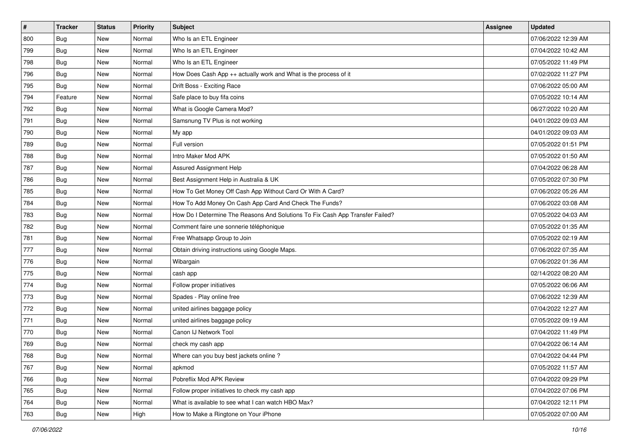| #   | <b>Tracker</b> | <b>Status</b> | <b>Priority</b> | Subject                                                                       | Assignee | <b>Updated</b>      |
|-----|----------------|---------------|-----------------|-------------------------------------------------------------------------------|----------|---------------------|
| 800 | <b>Bug</b>     | New           | Normal          | Who Is an ETL Engineer                                                        |          | 07/06/2022 12:39 AM |
| 799 | Bug            | New           | Normal          | Who Is an ETL Engineer                                                        |          | 07/04/2022 10:42 AM |
| 798 | <b>Bug</b>     | New           | Normal          | Who Is an ETL Engineer                                                        |          | 07/05/2022 11:49 PM |
| 796 | <b>Bug</b>     | New           | Normal          | How Does Cash App ++ actually work and What is the process of it              |          | 07/02/2022 11:27 PM |
| 795 | Bug            | New           | Normal          | Drift Boss - Exciting Race                                                    |          | 07/06/2022 05:00 AM |
| 794 | Feature        | New           | Normal          | Safe place to buy fifa coins                                                  |          | 07/05/2022 10:14 AM |
| 792 | <b>Bug</b>     | New           | Normal          | What is Google Camera Mod?                                                    |          | 06/27/2022 10:20 AM |
| 791 | Bug            | New           | Normal          | Samsnung TV Plus is not working                                               |          | 04/01/2022 09:03 AM |
| 790 | Bug            | New           | Normal          | My app                                                                        |          | 04/01/2022 09:03 AM |
| 789 | <b>Bug</b>     | New           | Normal          | Full version                                                                  |          | 07/05/2022 01:51 PM |
| 788 | Bug            | New           | Normal          | Intro Maker Mod APK                                                           |          | 07/05/2022 01:50 AM |
| 787 | <b>Bug</b>     | New           | Normal          | Assured Assignment Help                                                       |          | 07/04/2022 06:28 AM |
| 786 | Bug            | New           | Normal          | Best Assignment Help in Australia & UK                                        |          | 07/05/2022 07:30 PM |
| 785 | <b>Bug</b>     | New           | Normal          | How To Get Money Off Cash App Without Card Or With A Card?                    |          | 07/06/2022 05:26 AM |
| 784 | <b>Bug</b>     | New           | Normal          | How To Add Money On Cash App Card And Check The Funds?                        |          | 07/06/2022 03:08 AM |
| 783 | <b>Bug</b>     | New           | Normal          | How Do I Determine The Reasons And Solutions To Fix Cash App Transfer Failed? |          | 07/05/2022 04:03 AM |
| 782 | <b>Bug</b>     | New           | Normal          | Comment faire une sonnerie téléphonique                                       |          | 07/05/2022 01:35 AM |
| 781 | Bug            | New           | Normal          | Free Whatsapp Group to Join                                                   |          | 07/05/2022 02:19 AM |
| 777 | <b>Bug</b>     | New           | Normal          | Obtain driving instructions using Google Maps.                                |          | 07/06/2022 07:35 AM |
| 776 | <b>Bug</b>     | New           | Normal          | Wibargain                                                                     |          | 07/06/2022 01:36 AM |
| 775 | Bug            | New           | Normal          | cash app                                                                      |          | 02/14/2022 08:20 AM |
| 774 | <b>Bug</b>     | New           | Normal          | Follow proper initiatives                                                     |          | 07/05/2022 06:06 AM |
| 773 | <b>Bug</b>     | New           | Normal          | Spades - Play online free                                                     |          | 07/06/2022 12:39 AM |
| 772 | <b>Bug</b>     | New           | Normal          | united airlines baggage policy                                                |          | 07/04/2022 12:27 AM |
| 771 | <b>Bug</b>     | New           | Normal          | united airlines baggage policy                                                |          | 07/05/2022 09:19 AM |
| 770 | Bug            | New           | Normal          | Canon IJ Network Tool                                                         |          | 07/04/2022 11:49 PM |
| 769 | <b>Bug</b>     | New           | Normal          | check my cash app                                                             |          | 07/04/2022 06:14 AM |
| 768 | Bug            | New           | Normal          | Where can you buy best jackets online?                                        |          | 07/04/2022 04:44 PM |
| 767 | Bug            | New           | Normal          | apkmod                                                                        |          | 07/05/2022 11:57 AM |
| 766 | <b>Bug</b>     | New           | Normal          | Pobreflix Mod APK Review                                                      |          | 07/04/2022 09:29 PM |
| 765 | Bug            | New           | Normal          | Follow proper initiatives to check my cash app                                |          | 07/04/2022 07:06 PM |
| 764 | Bug            | New           | Normal          | What is available to see what I can watch HBO Max?                            |          | 07/04/2022 12:11 PM |
| 763 | <b>Bug</b>     | New           | High            | How to Make a Ringtone on Your iPhone                                         |          | 07/05/2022 07:00 AM |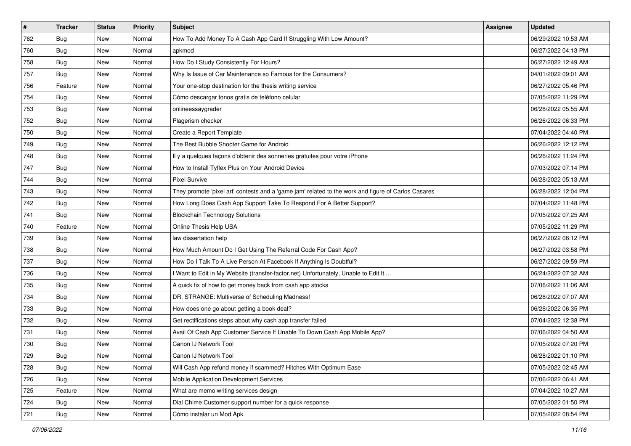| #   | <b>Tracker</b> | <b>Status</b> | <b>Priority</b> | Subject                                                                                             | Assignee | <b>Updated</b>      |
|-----|----------------|---------------|-----------------|-----------------------------------------------------------------------------------------------------|----------|---------------------|
| 762 | <b>Bug</b>     | New           | Normal          | How To Add Money To A Cash App Card If Struggling With Low Amount?                                  |          | 06/29/2022 10:53 AM |
| 760 | <b>Bug</b>     | New           | Normal          | apkmod                                                                                              |          | 06/27/2022 04:13 PM |
| 758 | <b>Bug</b>     | New           | Normal          | How Do I Study Consistently For Hours?                                                              |          | 06/27/2022 12:49 AM |
| 757 | <b>Bug</b>     | New           | Normal          | Why Is Issue of Car Maintenance so Famous for the Consumers?                                        |          | 04/01/2022 09:01 AM |
| 756 | Feature        | New           | Normal          | Your one-stop destination for the thesis writing service                                            |          | 06/27/2022 05:46 PM |
| 754 | <b>Bug</b>     | New           | Normal          | Cómo descargar tonos gratis de teléfono celular                                                     |          | 07/05/2022 11:29 PM |
| 753 | Bug            | New           | Normal          | onlineessaygrader                                                                                   |          | 06/28/2022 05:55 AM |
| 752 | <b>Bug</b>     | New           | Normal          | Plagerism checker                                                                                   |          | 06/26/2022 06:33 PM |
| 750 | Bug            | New           | Normal          | Create a Report Template                                                                            |          | 07/04/2022 04:40 PM |
| 749 | Bug            | New           | Normal          | The Best Bubble Shooter Game for Android                                                            |          | 06/26/2022 12:12 PM |
| 748 | <b>Bug</b>     | New           | Normal          | Il y a quelques façons d'obtenir des sonneries gratuites pour votre iPhone                          |          | 06/26/2022 11:24 PM |
| 747 | Bug            | New           | Normal          | How to Install Tyflex Plus on Your Android Device                                                   |          | 07/03/2022 07:14 PM |
| 744 | Bug            | New           | Normal          | <b>Pixel Survive</b>                                                                                |          | 06/28/2022 05:13 AM |
| 743 | <b>Bug</b>     | New           | Normal          | They promote 'pixel art' contests and a 'game jam' related to the work and figure of Carlos Casares |          | 06/28/2022 12:04 PM |
| 742 | Bug            | New           | Normal          | How Long Does Cash App Support Take To Respond For A Better Support?                                |          | 07/04/2022 11:48 PM |
| 741 | Bug            | New           | Normal          | <b>Blockchain Technology Solutions</b>                                                              |          | 07/05/2022 07:25 AM |
| 740 | Feature        | New           | Normal          | Online Thesis Help USA                                                                              |          | 07/05/2022 11:29 PM |
| 739 | Bug            | New           | Normal          | law dissertation help                                                                               |          | 06/27/2022 06:12 PM |
| 738 | Bug            | New           | Normal          | How Much Amount Do I Get Using The Referral Code For Cash App?                                      |          | 06/27/2022 03:58 PM |
| 737 | <b>Bug</b>     | New           | Normal          | How Do I Talk To A Live Person At Facebook If Anything Is Doubtful?                                 |          | 06/27/2022 09:59 PM |
| 736 | Bug            | New           | Normal          | I Want to Edit in My Website (transfer-factor.net) Unfortunately, Unable to Edit It                 |          | 06/24/2022 07:32 AM |
| 735 | Bug            | New           | Normal          | A quick fix of how to get money back from cash app stocks                                           |          | 07/06/2022 11:06 AM |
| 734 | Bug            | New           | Normal          | DR. STRANGE: Multiverse of Scheduling Madness!                                                      |          | 06/28/2022 07:07 AM |
| 733 | <b>Bug</b>     | New           | Normal          | How does one go about getting a book deal?                                                          |          | 06/28/2022 06:35 PM |
| 732 | Bug            | New           | Normal          | Get rectifications steps about why cash app transfer failed                                         |          | 07/04/2022 12:38 PM |
| 731 | Bug            | New           | Normal          | Avail Of Cash App Customer Service If Unable To Down Cash App Mobile App?                           |          | 07/06/2022 04:50 AM |
| 730 | <b>Bug</b>     | New           | Normal          | Canon IJ Network Tool                                                                               |          | 07/05/2022 07:20 PM |
| 729 | Bug            | New           | Normal          | Canon IJ Network Tool                                                                               |          | 06/28/2022 01:10 PM |
| 728 | <b>Bug</b>     | New           | Normal          | Will Cash App refund money if scammed? Hitches With Optimum Ease                                    |          | 07/05/2022 02:45 AM |
| 726 | <b>Bug</b>     | New           | Normal          | Mobile Application Development Services                                                             |          | 07/06/2022 06:41 AM |
| 725 | Feature        | New           | Normal          | What are memo writing services design                                                               |          | 07/04/2022 10:27 AM |
| 724 | <b>Bug</b>     | New           | Normal          | Dial Chime Customer support number for a quick response                                             |          | 07/05/2022 01:50 PM |
| 721 | <b>Bug</b>     | New           | Normal          | Cómo instalar un Mod Apk                                                                            |          | 07/05/2022 08:54 PM |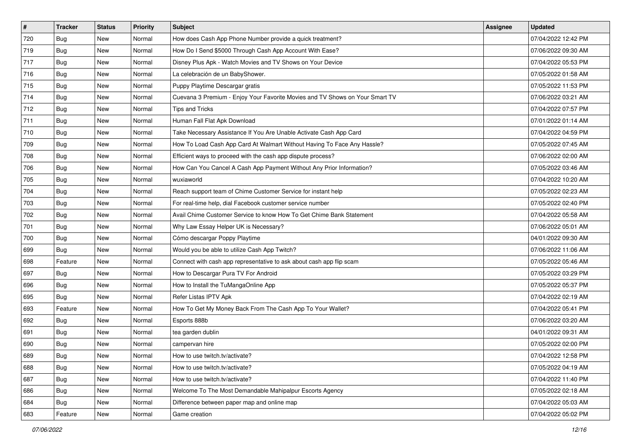| $\vert$ # | <b>Tracker</b> | <b>Status</b> | <b>Priority</b> | Subject                                                                      | Assignee | <b>Updated</b>      |
|-----------|----------------|---------------|-----------------|------------------------------------------------------------------------------|----------|---------------------|
| 720       | <b>Bug</b>     | New           | Normal          | How does Cash App Phone Number provide a quick treatment?                    |          | 07/04/2022 12:42 PM |
| 719       | Bug            | New           | Normal          | How Do I Send \$5000 Through Cash App Account With Ease?                     |          | 07/06/2022 09:30 AM |
| 717       | <b>Bug</b>     | New           | Normal          | Disney Plus Apk - Watch Movies and TV Shows on Your Device                   |          | 07/04/2022 05:53 PM |
| 716       | <b>Bug</b>     | New           | Normal          | La celebración de un BabyShower.                                             |          | 07/05/2022 01:58 AM |
| 715       | Bug            | New           | Normal          | Puppy Playtime Descargar gratis                                              |          | 07/05/2022 11:53 PM |
| 714       | Bug            | New           | Normal          | Cuevana 3 Premium - Enjoy Your Favorite Movies and TV Shows on Your Smart TV |          | 07/06/2022 03:21 AM |
| 712       | <b>Bug</b>     | New           | Normal          | Tips and Tricks                                                              |          | 07/04/2022 07:57 PM |
| 711       | <b>Bug</b>     | New           | Normal          | Human Fall Flat Apk Download                                                 |          | 07/01/2022 01:14 AM |
| 710       | <b>Bug</b>     | New           | Normal          | Take Necessary Assistance If You Are Unable Activate Cash App Card           |          | 07/04/2022 04:59 PM |
| 709       | Bug            | New           | Normal          | How To Load Cash App Card At Walmart Without Having To Face Any Hassle?      |          | 07/05/2022 07:45 AM |
| 708       | <b>Bug</b>     | New           | Normal          | Efficient ways to proceed with the cash app dispute process?                 |          | 07/06/2022 02:00 AM |
| 706       | Bug            | New           | Normal          | How Can You Cancel A Cash App Payment Without Any Prior Information?         |          | 07/05/2022 03:46 AM |
| 705       | <b>Bug</b>     | New           | Normal          | wuxiaworld                                                                   |          | 07/04/2022 10:20 AM |
| 704       | <b>Bug</b>     | New           | Normal          | Reach support team of Chime Customer Service for instant help                |          | 07/05/2022 02:23 AM |
| 703       | Bug            | New           | Normal          | For real-time help, dial Facebook customer service number                    |          | 07/05/2022 02:40 PM |
| 702       | Bug            | New           | Normal          | Avail Chime Customer Service to know How To Get Chime Bank Statement         |          | 07/04/2022 05:58 AM |
| 701       | <b>Bug</b>     | New           | Normal          | Why Law Essay Helper UK is Necessary?                                        |          | 07/06/2022 05:01 AM |
| 700       | <b>Bug</b>     | New           | Normal          | Cómo descargar Poppy Playtime                                                |          | 04/01/2022 09:30 AM |
| 699       | <b>Bug</b>     | New           | Normal          | Would you be able to utilize Cash App Twitch?                                |          | 07/06/2022 11:06 AM |
| 698       | Feature        | New           | Normal          | Connect with cash app representative to ask about cash app flip scam         |          | 07/05/2022 05:46 AM |
| 697       | <b>Bug</b>     | New           | Normal          | How to Descargar Pura TV For Android                                         |          | 07/05/2022 03:29 PM |
| 696       | <b>Bug</b>     | New           | Normal          | How to Install the TuMangaOnline App                                         |          | 07/05/2022 05:37 PM |
| 695       | <b>Bug</b>     | New           | Normal          | Refer Listas IPTV Apk                                                        |          | 07/04/2022 02:19 AM |
| 693       | Feature        | New           | Normal          | How To Get My Money Back From The Cash App To Your Wallet?                   |          | 07/04/2022 05:41 PM |
| 692       | <b>Bug</b>     | New           | Normal          | Esports 888b                                                                 |          | 07/06/2022 03:20 AM |
| 691       | Bug            | New           | Normal          | tea garden dublin                                                            |          | 04/01/2022 09:31 AM |
| 690       | <b>Bug</b>     | New           | Normal          | campervan hire                                                               |          | 07/05/2022 02:00 PM |
| 689       | <b>Bug</b>     | New           | Normal          | How to use twitch.tv/activate?                                               |          | 07/04/2022 12:58 PM |
| 688       | Bug            | New           | Normal          | How to use twitch.tv/activate?                                               |          | 07/05/2022 04:19 AM |
| 687       | <b>Bug</b>     | New           | Normal          | How to use twitch.tv/activate?                                               |          | 07/04/2022 11:40 PM |
| 686       | Bug            | New           | Normal          | Welcome To The Most Demandable Mahipalpur Escorts Agency                     |          | 07/05/2022 02:18 AM |
| 684       | <b>Bug</b>     | New           | Normal          | Difference between paper map and online map                                  |          | 07/04/2022 05:03 AM |
| 683       | Feature        | New           | Normal          | Game creation                                                                |          | 07/04/2022 05:02 PM |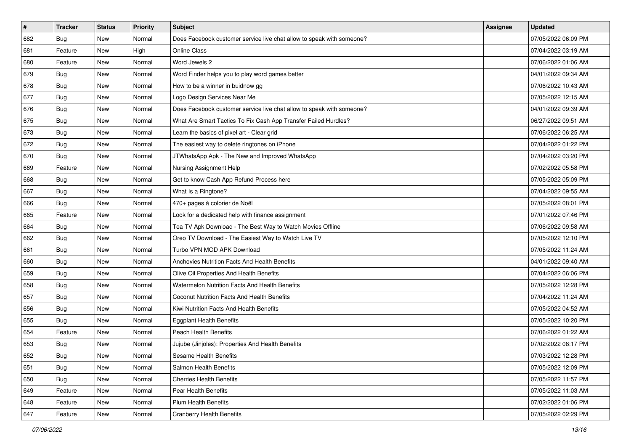| $\pmb{\#}$ | <b>Tracker</b> | <b>Status</b> | <b>Priority</b> | Subject                                                               | <b>Assignee</b> | <b>Updated</b>      |
|------------|----------------|---------------|-----------------|-----------------------------------------------------------------------|-----------------|---------------------|
| 682        | <b>Bug</b>     | New           | Normal          | Does Facebook customer service live chat allow to speak with someone? |                 | 07/05/2022 06:09 PM |
| 681        | Feature        | New           | High            | <b>Online Class</b>                                                   |                 | 07/04/2022 03:19 AM |
| 680        | Feature        | New           | Normal          | Word Jewels 2                                                         |                 | 07/06/2022 01:06 AM |
| 679        | <b>Bug</b>     | New           | Normal          | Word Finder helps you to play word games better                       |                 | 04/01/2022 09:34 AM |
| 678        | Bug            | New           | Normal          | How to be a winner in buidnow gg                                      |                 | 07/06/2022 10:43 AM |
| 677        | <b>Bug</b>     | New           | Normal          | Logo Design Services Near Me                                          |                 | 07/05/2022 12:15 AM |
| 676        | Bug            | New           | Normal          | Does Facebook customer service live chat allow to speak with someone? |                 | 04/01/2022 09:39 AM |
| 675        | <b>Bug</b>     | New           | Normal          | What Are Smart Tactics To Fix Cash App Transfer Failed Hurdles?       |                 | 06/27/2022 09:51 AM |
| 673        | Bug            | New           | Normal          | Learn the basics of pixel art - Clear grid                            |                 | 07/06/2022 06:25 AM |
| 672        | Bug            | New           | Normal          | The easiest way to delete ringtones on iPhone                         |                 | 07/04/2022 01:22 PM |
| 670        | <b>Bug</b>     | New           | Normal          | JTWhatsApp Apk - The New and Improved WhatsApp                        |                 | 07/04/2022 03:20 PM |
| 669        | Feature        | New           | Normal          | Nursing Assignment Help                                               |                 | 07/02/2022 05:58 PM |
| 668        | Bug            | New           | Normal          | Get to know Cash App Refund Process here                              |                 | 07/05/2022 05:09 PM |
| 667        | <b>Bug</b>     | New           | Normal          | What Is a Ringtone?                                                   |                 | 07/04/2022 09:55 AM |
| 666        | <b>Bug</b>     | New           | Normal          | 470+ pages à colorier de Noël                                         |                 | 07/05/2022 08:01 PM |
| 665        | Feature        | New           | Normal          | Look for a dedicated help with finance assignment                     |                 | 07/01/2022 07:46 PM |
| 664        | <b>Bug</b>     | New           | Normal          | Tea TV Apk Download - The Best Way to Watch Movies Offline            |                 | 07/06/2022 09:58 AM |
| 662        | Bug            | New           | Normal          | Oreo TV Download - The Easiest Way to Watch Live TV                   |                 | 07/05/2022 12:10 PM |
| 661        | <b>Bug</b>     | New           | Normal          | Turbo VPN MOD APK Download                                            |                 | 07/05/2022 11:24 AM |
| 660        | <b>Bug</b>     | New           | Normal          | Anchovies Nutrition Facts And Health Benefits                         |                 | 04/01/2022 09:40 AM |
| 659        | <b>Bug</b>     | New           | Normal          | Olive Oil Properties And Health Benefits                              |                 | 07/04/2022 06:06 PM |
| 658        | Bug            | New           | Normal          | Watermelon Nutrition Facts And Health Benefits                        |                 | 07/05/2022 12:28 PM |
| 657        | Bug            | New           | Normal          | Coconut Nutrition Facts And Health Benefits                           |                 | 07/04/2022 11:24 AM |
| 656        | <b>Bug</b>     | New           | Normal          | Kiwi Nutrition Facts And Health Benefits                              |                 | 07/05/2022 04:52 AM |
| 655        | <b>Bug</b>     | New           | Normal          | <b>Eggplant Health Benefits</b>                                       |                 | 07/05/2022 10:20 PM |
| 654        | Feature        | New           | Normal          | <b>Peach Health Benefits</b>                                          |                 | 07/06/2022 01:22 AM |
| 653        | <b>Bug</b>     | New           | Normal          | Jujube (Jinjoles): Properties And Health Benefits                     |                 | 07/02/2022 08:17 PM |
| 652        | <b>Bug</b>     | New           | Normal          | Sesame Health Benefits                                                |                 | 07/03/2022 12:28 PM |
| 651        | Bug            | New           | Normal          | Salmon Health Benefits                                                |                 | 07/05/2022 12:09 PM |
| 650        | <b>Bug</b>     | New           | Normal          | <b>Cherries Health Benefits</b>                                       |                 | 07/05/2022 11:57 PM |
| 649        | Feature        | New           | Normal          | Pear Health Benefits                                                  |                 | 07/05/2022 11:03 AM |
| 648        | Feature        | New           | Normal          | <b>Plum Health Benefits</b>                                           |                 | 07/02/2022 01:06 PM |
| 647        | Feature        | New           | Normal          | <b>Cranberry Health Benefits</b>                                      |                 | 07/05/2022 02:29 PM |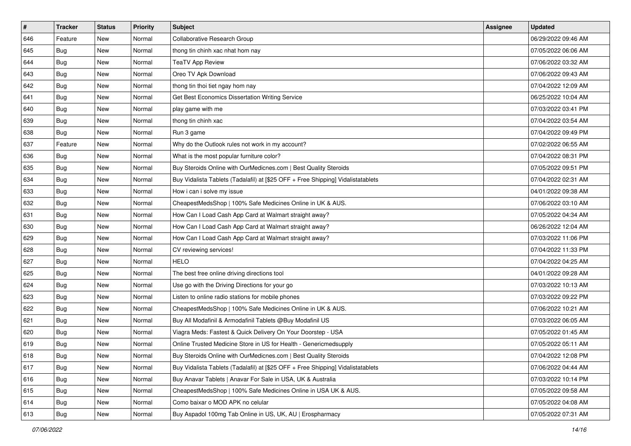| $\sharp$ | <b>Tracker</b> | <b>Status</b> | <b>Priority</b> | Subject                                                                          | <b>Assignee</b> | <b>Updated</b>      |
|----------|----------------|---------------|-----------------|----------------------------------------------------------------------------------|-----------------|---------------------|
| 646      | Feature        | New           | Normal          | Collaborative Research Group                                                     |                 | 06/29/2022 09:46 AM |
| 645      | <b>Bug</b>     | New           | Normal          | thong tin chinh xac nhat hom nay                                                 |                 | 07/05/2022 06:06 AM |
| 644      | Bug            | New           | Normal          | <b>TeaTV App Review</b>                                                          |                 | 07/06/2022 03:32 AM |
| 643      | <b>Bug</b>     | New           | Normal          | Oreo TV Apk Download                                                             |                 | 07/06/2022 09:43 AM |
| 642      | Bug            | New           | Normal          | thong tin thoi tiet ngay hom nay                                                 |                 | 07/04/2022 12:09 AM |
| 641      | <b>Bug</b>     | New           | Normal          | Get Best Economics Dissertation Writing Service                                  |                 | 06/25/2022 10:04 AM |
| 640      | Bug            | New           | Normal          | play game with me                                                                |                 | 07/03/2022 03:41 PM |
| 639      | <b>Bug</b>     | New           | Normal          | thong tin chinh xac                                                              |                 | 07/04/2022 03:54 AM |
| 638      | Bug            | New           | Normal          | Run 3 game                                                                       |                 | 07/04/2022 09:49 PM |
| 637      | Feature        | New           | Normal          | Why do the Outlook rules not work in my account?                                 |                 | 07/02/2022 06:55 AM |
| 636      | <b>Bug</b>     | New           | Normal          | What is the most popular furniture color?                                        |                 | 07/04/2022 08:31 PM |
| 635      | <b>Bug</b>     | New           | Normal          | Buy Steroids Online with OurMedicnes.com   Best Quality Steroids                 |                 | 07/05/2022 09:51 PM |
| 634      | Bug            | New           | Normal          | Buy Vidalista Tablets (Tadalafil) at [\$25 OFF + Free Shipping] Vidalistatablets |                 | 07/04/2022 02:31 AM |
| 633      | Bug            | New           | Normal          | How i can i solve my issue                                                       |                 | 04/01/2022 09:38 AM |
| 632      | Bug            | New           | Normal          | CheapestMedsShop   100% Safe Medicines Online in UK & AUS.                       |                 | 07/06/2022 03:10 AM |
| 631      | Bug            | New           | Normal          | How Can I Load Cash App Card at Walmart straight away?                           |                 | 07/05/2022 04:34 AM |
| 630      | <b>Bug</b>     | New           | Normal          | How Can I Load Cash App Card at Walmart straight away?                           |                 | 06/26/2022 12:04 AM |
| 629      | Bug            | New           | Normal          | How Can I Load Cash App Card at Walmart straight away?                           |                 | 07/03/2022 11:06 PM |
| 628      | Bug            | New           | Normal          | CV reviewing services!                                                           |                 | 07/04/2022 11:33 PM |
| 627      | Bug            | New           | Normal          | <b>HELO</b>                                                                      |                 | 07/04/2022 04:25 AM |
| 625      | Bug            | New           | Normal          | The best free online driving directions tool                                     |                 | 04/01/2022 09:28 AM |
| 624      | Bug            | New           | Normal          | Use go with the Driving Directions for your go                                   |                 | 07/03/2022 10:13 AM |
| 623      | Bug            | New           | Normal          | Listen to online radio stations for mobile phones                                |                 | 07/03/2022 09:22 PM |
| 622      | <b>Bug</b>     | New           | Normal          | CheapestMedsShop   100% Safe Medicines Online in UK & AUS.                       |                 | 07/06/2022 10:21 AM |
| 621      | Bug            | New           | Normal          | Buy All Modafinil & Armodafinil Tablets @Buy Modafinil US                        |                 | 07/03/2022 06:05 AM |
| 620      | Bug            | New           | Normal          | Viagra Meds: Fastest & Quick Delivery On Your Doorstep - USA                     |                 | 07/05/2022 01:45 AM |
| 619      | <b>Bug</b>     | New           | Normal          | Online Trusted Medicine Store in US for Health - Genericmedsupply                |                 | 07/05/2022 05:11 AM |
| 618      | Bug            | New           | Normal          | Buy Steroids Online with OurMedicnes.com   Best Quality Steroids                 |                 | 07/04/2022 12:08 PM |
| 617      | Bug            | New           | Normal          | Buy Vidalista Tablets (Tadalafil) at [\$25 OFF + Free Shipping] Vidalistatablets |                 | 07/06/2022 04:44 AM |
| 616      | Bug            | New           | Normal          | Buy Anavar Tablets   Anavar For Sale in USA, UK & Australia                      |                 | 07/03/2022 10:14 PM |
| 615      | <b>Bug</b>     | New           | Normal          | CheapestMedsShop   100% Safe Medicines Online in USA UK & AUS.                   |                 | 07/05/2022 09:58 AM |
| 614      | Bug            | New           | Normal          | Como baixar o MOD APK no celular                                                 |                 | 07/05/2022 04:08 AM |
| 613      | <b>Bug</b>     | New           | Normal          | Buy Aspadol 100mg Tab Online in US, UK, AU   Erospharmacy                        |                 | 07/05/2022 07:31 AM |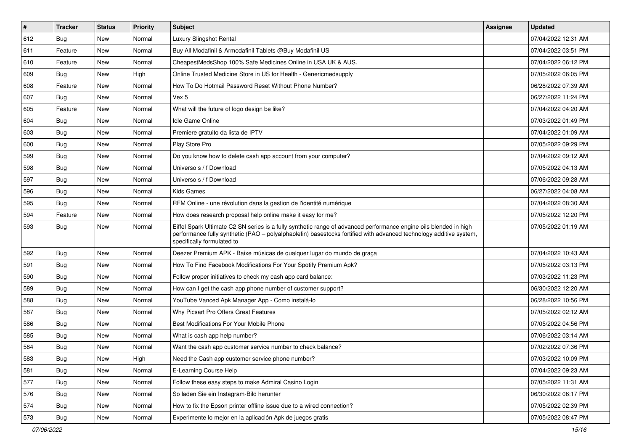| #   | <b>Tracker</b> | <b>Status</b> | <b>Priority</b> | <b>Subject</b>                                                                                                                                                                                                                                                        | <b>Assignee</b> | <b>Updated</b>      |
|-----|----------------|---------------|-----------------|-----------------------------------------------------------------------------------------------------------------------------------------------------------------------------------------------------------------------------------------------------------------------|-----------------|---------------------|
| 612 | <b>Bug</b>     | New           | Normal          | Luxury Slingshot Rental                                                                                                                                                                                                                                               |                 | 07/04/2022 12:31 AM |
| 611 | Feature        | New           | Normal          | Buy All Modafinil & Armodafinil Tablets @Buy Modafinil US                                                                                                                                                                                                             |                 | 07/04/2022 03:51 PM |
| 610 | Feature        | New           | Normal          | CheapestMedsShop 100% Safe Medicines Online in USA UK & AUS.                                                                                                                                                                                                          |                 | 07/04/2022 06:12 PM |
| 609 | <b>Bug</b>     | New           | High            | Online Trusted Medicine Store in US for Health - Genericmedsupply                                                                                                                                                                                                     |                 | 07/05/2022 06:05 PM |
| 608 | Feature        | New           | Normal          | How To Do Hotmail Password Reset Without Phone Number?                                                                                                                                                                                                                |                 | 06/28/2022 07:39 AM |
| 607 | Bug            | New           | Normal          | Vex 5                                                                                                                                                                                                                                                                 |                 | 06/27/2022 11:24 PM |
| 605 | Feature        | New           | Normal          | What will the future of logo design be like?                                                                                                                                                                                                                          |                 | 07/04/2022 04:20 AM |
| 604 | Bug            | <b>New</b>    | Normal          | Idle Game Online                                                                                                                                                                                                                                                      |                 | 07/03/2022 01:49 PM |
| 603 | Bug            | New           | Normal          | Premiere gratuito da lista de IPTV                                                                                                                                                                                                                                    |                 | 07/04/2022 01:09 AM |
| 600 | Bug            | <b>New</b>    | Normal          | Play Store Pro                                                                                                                                                                                                                                                        |                 | 07/05/2022 09:29 PM |
| 599 | Bug            | New           | Normal          | Do you know how to delete cash app account from your computer?                                                                                                                                                                                                        |                 | 07/04/2022 09:12 AM |
| 598 | Bug            | <b>New</b>    | Normal          | Universo s / f Download                                                                                                                                                                                                                                               |                 | 07/05/2022 04:13 AM |
| 597 | Bug            | New           | Normal          | Universo s / f Download                                                                                                                                                                                                                                               |                 | 07/06/2022 09:28 AM |
| 596 | <b>Bug</b>     | New           | Normal          | Kids Games                                                                                                                                                                                                                                                            |                 | 06/27/2022 04:08 AM |
| 595 | <b>Bug</b>     | <b>New</b>    | Normal          | RFM Online - une révolution dans la gestion de l'identité numérique                                                                                                                                                                                                   |                 | 07/04/2022 08:30 AM |
| 594 | Feature        | New           | Normal          | How does research proposal help online make it easy for me?                                                                                                                                                                                                           |                 | 07/05/2022 12:20 PM |
| 593 | <b>Bug</b>     | New           | Normal          | Eiffel Spark Ultimate C2 SN series is a fully synthetic range of advanced performance engine oils blended in high<br>performance fully synthetic (PAO - polyalphaolefin) basestocks fortified with advanced technology additive system,<br>specifically formulated to |                 | 07/05/2022 01:19 AM |
| 592 | <b>Bug</b>     | <b>New</b>    | Normal          | Deezer Premium APK - Baixe músicas de qualquer lugar do mundo de graça                                                                                                                                                                                                |                 | 07/04/2022 10:43 AM |
| 591 | Bug            | New           | Normal          | How To Find Facebook Modifications For Your Spotify Premium Apk?                                                                                                                                                                                                      |                 | 07/05/2022 03:13 PM |
| 590 | Bug            | New           | Normal          | Follow proper initiatives to check my cash app card balance:                                                                                                                                                                                                          |                 | 07/03/2022 11:23 PM |
| 589 | Bug            | <b>New</b>    | Normal          | How can I get the cash app phone number of customer support?                                                                                                                                                                                                          |                 | 06/30/2022 12:20 AM |
| 588 | <b>Bug</b>     | New           | Normal          | YouTube Vanced Apk Manager App - Como instalá-lo                                                                                                                                                                                                                      |                 | 06/28/2022 10:56 PM |
| 587 | Bug            | <b>New</b>    | Normal          | Why Picsart Pro Offers Great Features                                                                                                                                                                                                                                 |                 | 07/05/2022 02:12 AM |
| 586 | <b>Bug</b>     | New           | Normal          | Best Modifications For Your Mobile Phone                                                                                                                                                                                                                              |                 | 07/05/2022 04:56 PM |
| 585 | <b>Bug</b>     | New           | Normal          | What is cash app help number?                                                                                                                                                                                                                                         |                 | 07/06/2022 03:14 AM |
| 584 | Bug            | New           | Normal          | Want the cash app customer service number to check balance?                                                                                                                                                                                                           |                 | 07/02/2022 07:36 PM |
| 583 | Bug            | New           | High            | Need the Cash app customer service phone number?                                                                                                                                                                                                                      |                 | 07/03/2022 10:09 PM |
| 581 | <b>Bug</b>     | New           | Normal          | E-Learning Course Help                                                                                                                                                                                                                                                |                 | 07/04/2022 09:23 AM |
| 577 | <b>Bug</b>     | New           | Normal          | Follow these easy steps to make Admiral Casino Login                                                                                                                                                                                                                  |                 | 07/05/2022 11:31 AM |
| 576 | <b>Bug</b>     | New           | Normal          | So laden Sie ein Instagram-Bild herunter                                                                                                                                                                                                                              |                 | 06/30/2022 06:17 PM |
| 574 | <b>Bug</b>     | New           | Normal          | How to fix the Epson printer offline issue due to a wired connection?                                                                                                                                                                                                 |                 | 07/05/2022 02:39 PM |
| 573 | Bug            | New           | Normal          | Experimente lo mejor en la aplicación Apk de juegos gratis                                                                                                                                                                                                            |                 | 07/05/2022 08:47 PM |